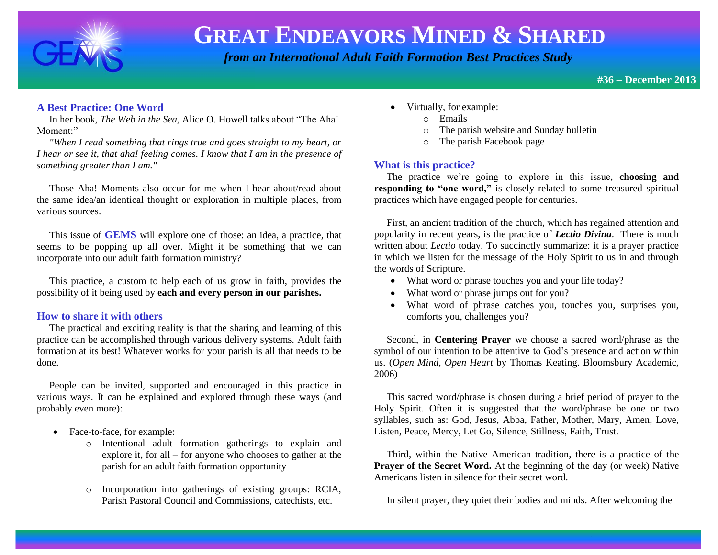

 *from an International Adult Faith Formation Best Practices Study*

**#36 – December 2013** 

### **A Best Practice: One Word**

 In her book, *The Web in the Sea,* Alice O. Howell talks about "The Aha! Moment:"

 *"When I read something that rings true and goes straight to my heart, or I hear or see it, that aha! feeling comes. I know that I am in the presence of something greater than I am."*

 Those Aha! Moments also occur for me when I hear about/read about the same idea/an identical thought or exploration in multiple places, from various sources.

 This issue of **GEMS** will explore one of those: an idea, a practice, that seems to be popping up all over. Might it be something that we can incorporate into our adult faith formation ministry?

 This practice, a custom to help each of us grow in faith, provides the possibility of it being used by **each and every person in our parishes.**

#### **How to share it with others**

 The practical and exciting reality is that the sharing and learning of this practice can be accomplished through various delivery systems. Adult faith formation at its best! Whatever works for your parish is all that needs to be done.

 People can be invited, supported and encouraged in this practice in various ways. It can be explained and explored through these ways (and probably even more):

- Face-to-face, for example:
	- o Intentional adult formation gatherings to explain and explore it, for all – for anyone who chooses to gather at the parish for an adult faith formation opportunity
	- o Incorporation into gatherings of existing groups: RCIA, Parish Pastoral Council and Commissions, catechists, etc.
- Virtually, for example:
	- o Emails
	- o The parish website and Sunday bulletin
	- o The parish Facebook page

### **What is this practice?**

 The practice we're going to explore in this issue, **choosing and responding to "one word,"** is closely related to some treasured spiritual practices which have engaged people for centuries.

 First, an ancient tradition of the church, which has regained attention and popularity in recent years, is the practice of *Lectio Divina*. There is much written about *Lectio* today. To succinctly summarize: it is a prayer practice in which we listen for the message of the Holy Spirit to us in and through the words of Scripture.

- What word or phrase touches you and your life today?
- What word or phrase jumps out for you?
- What word of phrase catches you, touches you, surprises you, comforts you, challenges you?

 Second, in **Centering Prayer** we choose a sacred word/phrase as the symbol of our intention to be attentive to God's presence and action within us. (*Open Mind, Open Heart* by Thomas Keating. Bloomsbury Academic, 2006)

 This sacred word/phrase is chosen during a brief period of prayer to the Holy Spirit. Often it is suggested that the word/phrase be one or two syllables, such as: God, Jesus, Abba, Father, Mother, Mary, Amen, Love, Listen, Peace, Mercy, Let Go, Silence, Stillness, Faith, Trust.

 Third, within the Native American tradition, there is a practice of the **Prayer of the Secret Word.** At the beginning of the day (or week) Native Americans listen in silence for their secret word.

In silent prayer, they quiet their bodies and minds. After welcoming the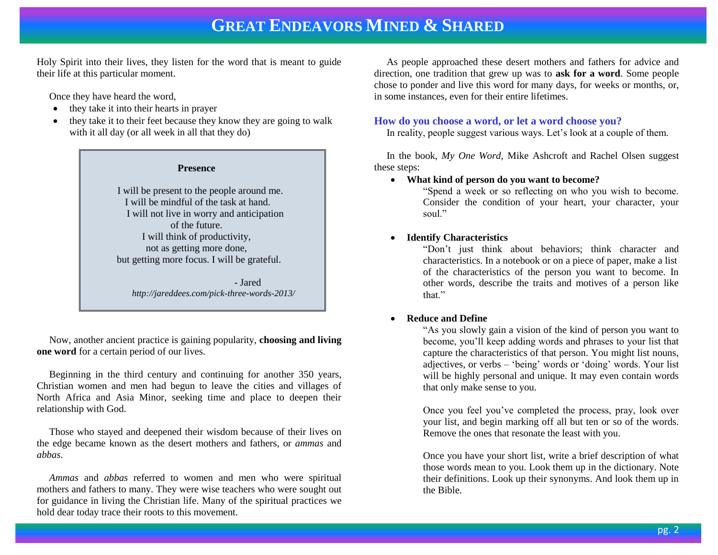Holy Spirit into their lives, they listen for the word that is meant to guide their life at this particular moment.

Once they have heard the word,

- they take it into their hearts in prayer
- they take it to their feet because they know they are going to walk with it all day (or all week in all that they do)



 Now, another ancient practice is gaining popularity, **choosing and living one word** for a certain period of our lives.

 Beginning in the third century and continuing for another 350 years, Christian women and men had begun to leave the cities and villages of North Africa and Asia Minor, seeking time and place to deepen their relationship with God.

 Those who stayed and deepened their wisdom because of their lives on the edge became known as the desert mothers and fathers, or *ammas* and *abbas.* 

 *Ammas* and *abbas* referred to women and men who were spiritual mothers and fathers to many. They were wise teachers who were sought out for guidance in living the Christian life. Many of the spiritual practices we hold dear today trace their roots to this movement.

 As people approached these desert mothers and fathers for advice and direction, one tradition that grew up was to **ask for a word**. Some people chose to ponder and live this word for many days, for weeks or months, or, in some instances, even for their entire lifetimes.

### **How do you choose a word, or let a word choose you?**

In reality, people suggest various ways. Let's look at a couple of them.

 In the book, *My One Word,* Mike Ashcroft and Rachel Olsen suggest these steps:

**What kind of person do you want to become?**

"Spend a week or so reflecting on who you wish to become. Consider the condition of your heart, your character, your soul."

### **Identify Characteristics**

"Don't just think about behaviors; think character and characteristics. In a notebook or on a piece of paper, make a list of the characteristics of the person you want to become. In other words, describe the traits and motives of a person like that."

### **Reduce and Define**

"As you slowly gain a vision of the kind of person you want to become, you'll keep adding words and phrases to your list that capture the characteristics of that person. You might list nouns, adjectives, or verbs – 'being' words or 'doing' words. Your list will be highly personal and unique. It may even contain words that only make sense to you.

Once you feel you've completed the process, pray, look over your list, and begin marking off all but ten or so of the words. Remove the ones that resonate the least with you.

Once you have your short list, write a brief description of what those words mean to you. Look them up in the dictionary. Note their definitions. Look up their synonyms. And look them up in the Bible.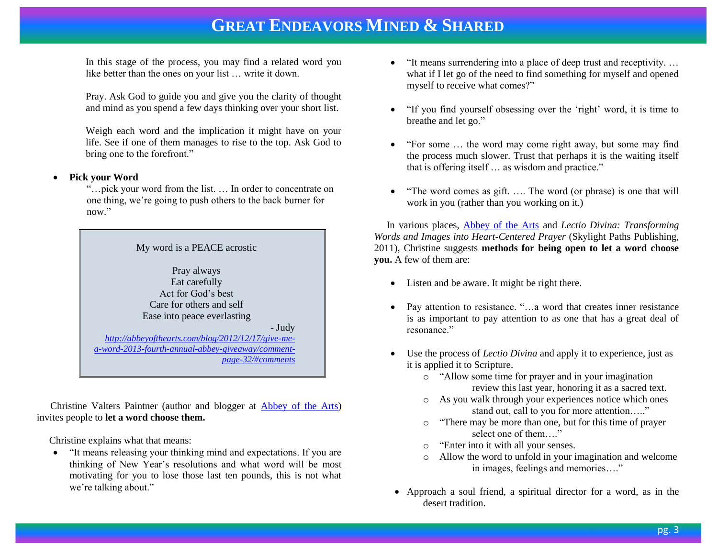In this stage of the process, you may find a related word you like better than the ones on your list … write it down.

Pray. Ask God to guide you and give you the clarity of thought and mind as you spend a few days thinking over your short list.

Weigh each word and the implication it might have on your life. See if one of them manages to rise to the top. Ask God to bring one to the forefront."

### **Pick your Word**

 "…pick your word from the list. … In order to concentrate on one thing, we're going to push others to the back burner for now."



 Christine Valters Paintner (author and blogger at [Abbey of the Arts\)](http://abbeyofthearts.com/) invites people to **let a word choose them.**

Christine explains what that means:

 "It means releasing your thinking mind and expectations. If you are thinking of New Year's resolutions and what word will be most motivating for you to lose those last ten pounds, this is not what we're talking about."

- "It means surrendering into a place of deep trust and receptivity. … what if I let go of the need to find something for myself and opened myself to receive what comes?"
- "If you find yourself obsessing over the 'right' word, it is time to breathe and let go."
- "For some … the word may come right away, but some may find the process much slower. Trust that perhaps it is the waiting itself that is offering itself … as wisdom and practice."
- "The word comes as gift. .... The word (or phrase) is one that will work in you (rather than you working on it.)

 In various places, [Abbey of the Arts](http://abbeyofthearts.com/about/) and *Lectio Divina: Transforming Words and Images into Heart-Centered Prayer* (Skylight Paths Publishing, 2011), Christine suggests **methods for being open to let a word choose you.** A few of them are:

- Listen and be aware. It might be right there.
- Pay attention to resistance. "…a word that creates inner resistance is as important to pay attention to as one that has a great deal of resonance."
- Use the process of *Lectio Divina* and apply it to experience, just as it is applied it to Scripture.
	- o "Allow some time for prayer and in your imagination review this last year, honoring it as a sacred text.
	- o As you walk through your experiences notice which ones stand out, call to you for more attention….."
	- o "There may be more than one, but for this time of prayer select one of them…."
	- o "Enter into it with all your senses.
	- o Allow the word to unfold in your imagination and welcome in images, feelings and memories…."
- Approach a soul friend, a spiritual director for a word, as in the desert tradition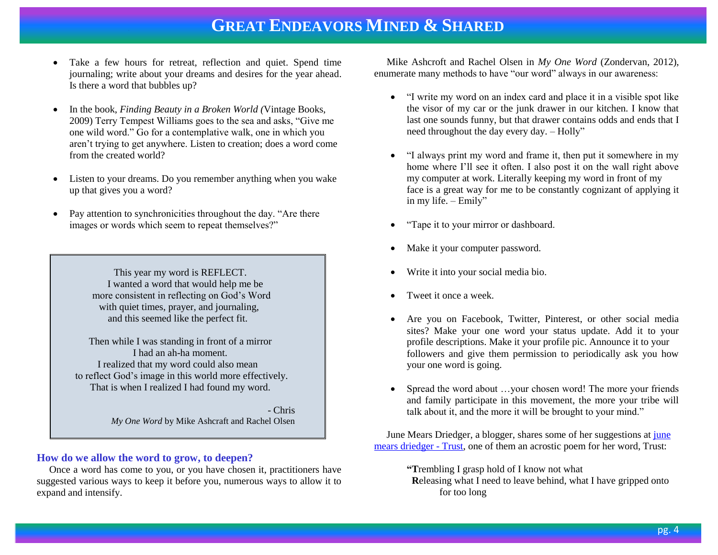- Take a few hours for retreat, reflection and quiet. Spend time journaling; write about your dreams and desires for the year ahead. Is there a word that bubbles up?
- In the book, *Finding Beauty in a Broken World (*Vintage Books, 2009) Terry Tempest Williams goes to the sea and asks, "Give me one wild word." Go for a contemplative walk, one in which you aren't trying to get anywhere. Listen to creation; does a word come from the created world?
- Listen to your dreams. Do you remember anything when you wake up that gives you a word?
- Pay attention to synchronicities throughout the day. "Are there images or words which seem to repeat themselves?"

 This year my word is REFLECT. I wanted a word that would help me be more consistent in reflecting on God's Word with quiet times, prayer, and journaling, and this seemed like the perfect fit.

 Then while I was standing in front of a mirror I had an ah-ha moment. I realized that my word could also mean to reflect God's image in this world more effectively. That is when I realized I had found my word.

> - Chris *My One Word* by Mike Ashcraft and Rachel Olsen

#### **How do we allow the word to grow, to deepen?**

 Once a word has come to you, or you have chosen it, practitioners have suggested various ways to keep it before you, numerous ways to allow it to expand and intensify.

 Mike Ashcroft and Rachel Olsen in *My One Word* (Zondervan, 2012), enumerate many methods to have "our word" always in our awareness:

- "I write my word on an index card and place it in a visible spot like the visor of my car or the junk drawer in our kitchen. I know that last one sounds funny, but that drawer contains odds and ends that I need throughout the day every day. – Holly"
- "I always print my word and frame it, then put it somewhere in my home where I'll see it often. I also post it on the wall right above my computer at work. Literally keeping my word in front of my face is a great way for me to be constantly cognizant of applying it in my life. – Emily"
- "Tape it to your mirror or dashboard.
- Make it your computer password.
- Write it into your social media bio.
- Tweet it once a week.
- Are you on Facebook, Twitter, Pinterest, or other social media sites? Make your one word your status update. Add it to your profile descriptions. Make it your profile pic. Announce it to your followers and give them permission to periodically ask you how your one word is going.
- Spread the word about …your chosen word! The more your friends and family participate in this movement, the more your tribe will talk about it, and the more it will be brought to your mind."

 June Mears Driedger, a blogger, shares some of her suggestions a[t june](http://junemearsdriedger.wordpress.com/?s=one+word)  [mears driedger -](http://junemearsdriedger.wordpress.com/?s=one+word) Trust, one of them an acrostic poem for her word, Trust:

#### **"T**rembling I grasp hold of I know not what

 **R**eleasing what I need to leave behind, what I have gripped onto for too long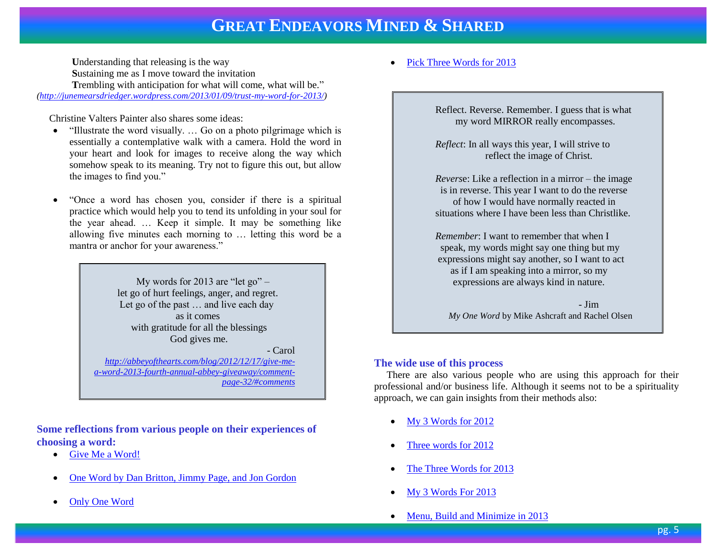**U**nderstanding that releasing is the way **S**ustaining me as I move toward the invitation **Trembling with anticipation for what will come, what will be."** *[\(http://junemearsdriedger.wordpress.com/2013/01/09/trust-my-word-for-2013/\)](http://junemearsdriedger.wordpress.com/2013/01/09/trust-my-word-for-2013/)* 

Christine Valters Painter also shares some ideas:

- "Illustrate the word visually. ... Go on a photo pilgrimage which is essentially a contemplative walk with a camera. Hold the word in your heart and look for images to receive along the way which somehow speak to its meaning. Try not to figure this out, but allow the images to find you."
- "Once a word has chosen you, consider if there is a spiritual practice which would help you to tend its unfolding in your soul for the year ahead. … Keep it simple. It may be something like allowing five minutes each morning to … letting this word be a mantra or anchor for your awareness."

 My words for 2013 are "let go" – let go of hurt feelings, anger, and regret. Let go of the past … and live each day as it comes with gratitude for all the blessings God gives me.

- Carol

*[http://abbeyofthearts.com/blog/2012/12/17/give-me](http://abbeyofthearts.com/blog/2012/12/17/give-me-a-word-2013-fourth-annual-abbey-giveaway/comment-page-32/#comments)[a-word-2013-fourth-annual-abbey-giveaway/comment](http://abbeyofthearts.com/blog/2012/12/17/give-me-a-word-2013-fourth-annual-abbey-giveaway/comment-page-32/#comments)[page-32/#comments](http://abbeyofthearts.com/blog/2012/12/17/give-me-a-word-2013-fourth-annual-abbey-giveaway/comment-page-32/#comments)*

**Some reflections from various people on their experiences of choosing a word:**

- [Give Me a Word!](http://www.patheos.com/blogs/amusingamma/2013/01/give-me-a-word/)
- [One Word by Dan Britton, Jimmy Page, and Jon Gordon](http://jackiejwward.wordpress.com/2013/03/01/one-word-by-dan-britton-jimmy-page-and-jon-gordon/)
- [Only One Word](http://ezinearticles.com/?Only-One-Word&id=7525532)

[Pick Three Words for 2013](http://jareddees.com/pick-three-words-2013/)

Reflect. Reverse. Remember. I guess that is what my word MIRROR really encompasses.

*Reflect*: In all ways this year, I will strive to reflect the image of Christ.

*Revers*e: Like a reflection in a mirror – the image is in reverse. This year I want to do the reverse of how I would have normally reacted in situations where I have been less than Christlike.

*Remember*: I want to remember that when I speak, my words might say one thing but my expressions might say another, so I want to act as if I am speaking into a mirror, so my expressions are always kind in nature.

 - Jim *My One Word* by Mike Ashcraft and Rachel Olsen

### **The wide use of this process**

 There are also various people who are using this approach for their professional and/or business life. Although it seems not to be a spirituality approach, we can gain insights from their methods also:

- [My 3 Words for 2012](http://www.chrisbrogan.com/3words2012/)
- [Three words for 2012](http://bettermess.com/three-words-for-2012/)
- [The Three Words for 2013](http://www.businessesgrow.com/2013/01/03/the-three-words-for-2013/)
- [My 3 Words For 2013](http://www.twistimage.com/blog/archives/my-3-words-for-2013/)
- [Menu, Build and Minimize in 2013](http://www.cc-chapman.com/2013/menu-build-minimize/)